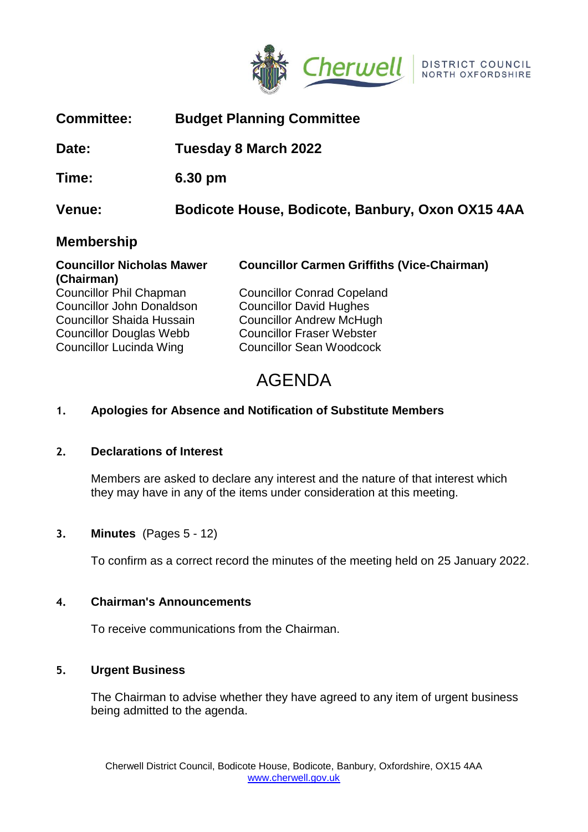

| <b>Committee:</b>                              |                             | <b>Budget Planning Committee</b>                   |
|------------------------------------------------|-----------------------------|----------------------------------------------------|
| Date:                                          | <b>Tuesday 8 March 2022</b> |                                                    |
| Time:                                          | $6.30 \text{ pm}$           |                                                    |
| Venue:                                         |                             | Bodicote House, Bodicote, Banbury, Oxon OX15 4AA   |
| <b>Membership</b>                              |                             |                                                    |
| <b>Councillor Nicholas Mawer</b><br>(Chairman) |                             | <b>Councillor Carmen Griffiths (Vice-Chairman)</b> |
| <b>Councillor Phil Chapman</b>                 |                             | <b>Councillor Conrad Copeland</b>                  |
| <b>Councillor John Donaldson</b>               |                             | <b>Councillor David Hughes</b>                     |

Councillor Douglas Webb Councillor Fraser Webster Councillor Lucinda Wing Councillor Sean Woodcock

Councillor Shaida Hussain Councillor Andrew McHugh

# AGENDA

# **1. Apologies for Absence and Notification of Substitute Members**

# **2. Declarations of Interest**

Members are asked to declare any interest and the nature of that interest which they may have in any of the items under consideration at this meeting.

# **3. Minutes** (Pages 5 - 12)

To confirm as a correct record the minutes of the meeting held on 25 January 2022.

# **4. Chairman's Announcements**

To receive communications from the Chairman.

# **5. Urgent Business**

The Chairman to advise whether they have agreed to any item of urgent business being admitted to the agenda.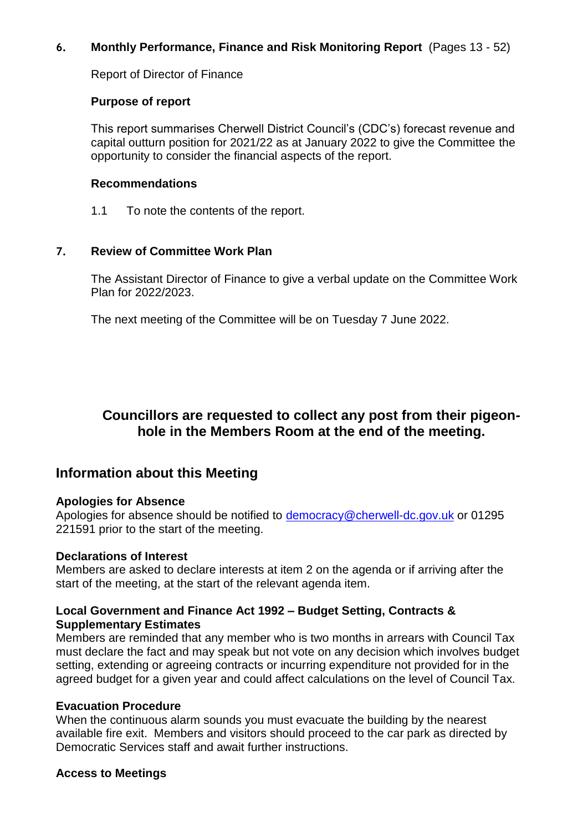# **6. Monthly Performance, Finance and Risk Monitoring Report** (Pages 13 - 52)

Report of Director of Finance

### **Purpose of report**

This report summarises Cherwell District Council's (CDC's) forecast revenue and capital outturn position for 2021/22 as at January 2022 to give the Committee the opportunity to consider the financial aspects of the report.

### **Recommendations**

1.1 To note the contents of the report.

# **7. Review of Committee Work Plan**

The Assistant Director of Finance to give a verbal update on the Committee Work Plan for 2022/2023.

The next meeting of the Committee will be on Tuesday 7 June 2022.

# **Councillors are requested to collect any post from their pigeonhole in the Members Room at the end of the meeting.**

# **Information about this Meeting**

### **Apologies for Absence**

Apologies for absence should be notified to [democracy@cherwell-dc.gov.uk](mailto:democracy@cherwell-dc.gov.uk) or 01295 221591 prior to the start of the meeting.

### **Declarations of Interest**

Members are asked to declare interests at item 2 on the agenda or if arriving after the start of the meeting, at the start of the relevant agenda item.

# **Local Government and Finance Act 1992 – Budget Setting, Contracts & Supplementary Estimates**

Members are reminded that any member who is two months in arrears with Council Tax must declare the fact and may speak but not vote on any decision which involves budget setting, extending or agreeing contracts or incurring expenditure not provided for in the agreed budget for a given year and could affect calculations on the level of Council Tax.

# **Evacuation Procedure**

When the continuous alarm sounds you must evacuate the building by the nearest available fire exit. Members and visitors should proceed to the car park as directed by Democratic Services staff and await further instructions.

# **Access to Meetings**